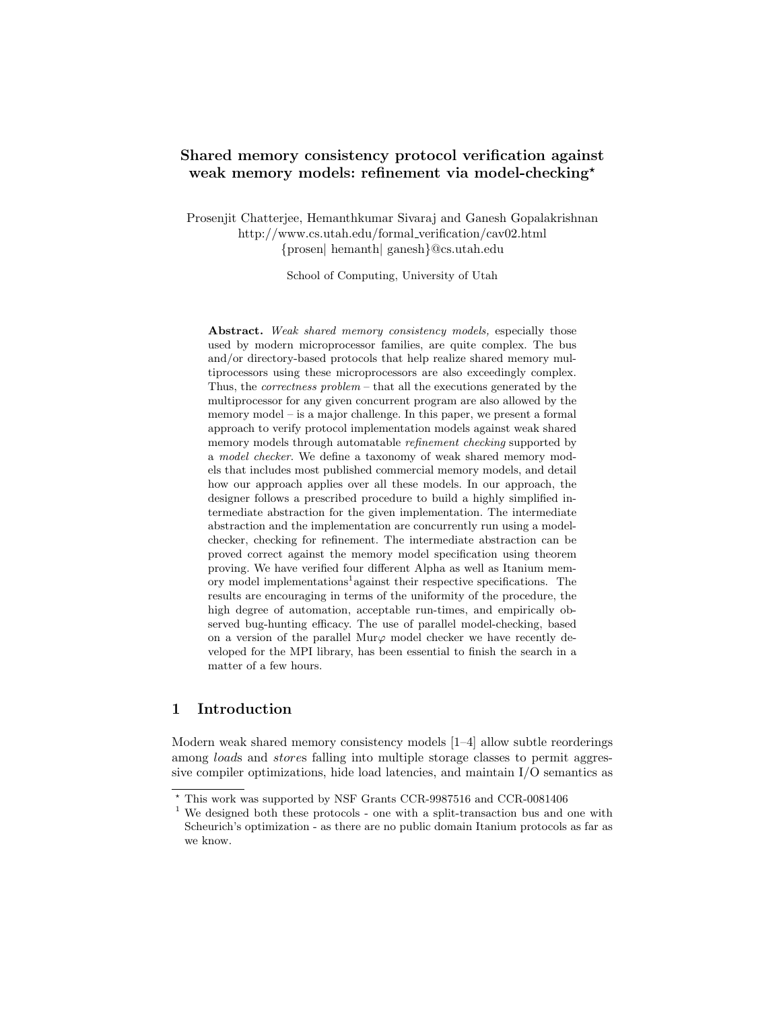# Shared memory consistency protocol verification against weak memory models: refinement via model-checking\*

Prosenjit Chatterjee, Hemanthkumar Sivaraj and Ganesh Gopalakrishnan http://www.cs.utah.edu/formal verification/cav02.html {prosen| hemanth| ganesh}@cs.utah.edu

School of Computing, University of Utah

Abstract. Weak shared memory consistency models, especially those used by modern microprocessor families, are quite complex. The bus and/or directory-based protocols that help realize shared memory multiprocessors using these microprocessors are also exceedingly complex. Thus, the correctness problem – that all the executions generated by the multiprocessor for any given concurrent program are also allowed by the memory model – is a major challenge. In this paper, we present a formal approach to verify protocol implementation models against weak shared memory models through automatable refinement checking supported by a model checker. We define a taxonomy of weak shared memory models that includes most published commercial memory models, and detail how our approach applies over all these models. In our approach, the designer follows a prescribed procedure to build a highly simplified intermediate abstraction for the given implementation. The intermediate abstraction and the implementation are concurrently run using a modelchecker, checking for refinement. The intermediate abstraction can be proved correct against the memory model specification using theorem proving. We have verified four different Alpha as well as Itanium memory model implementations<sup>1</sup> against their respective specifications. The results are encouraging in terms of the uniformity of the procedure, the high degree of automation, acceptable run-times, and empirically observed bug-hunting efficacy. The use of parallel model-checking, based on a version of the parallel Mur $\varphi$  model checker we have recently developed for the MPI library, has been essential to finish the search in a matter of a few hours.

### 1 Introduction

Modern weak shared memory consistency models [1–4] allow subtle reorderings among loads and stores falling into multiple storage classes to permit aggressive compiler optimizations, hide load latencies, and maintain I/O semantics as

<sup>?</sup> This work was supported by NSF Grants CCR-9987516 and CCR-0081406

<sup>&</sup>lt;sup>1</sup> We designed both these protocols - one with a split-transaction bus and one with Scheurich's optimization - as there are no public domain Itanium protocols as far as we know.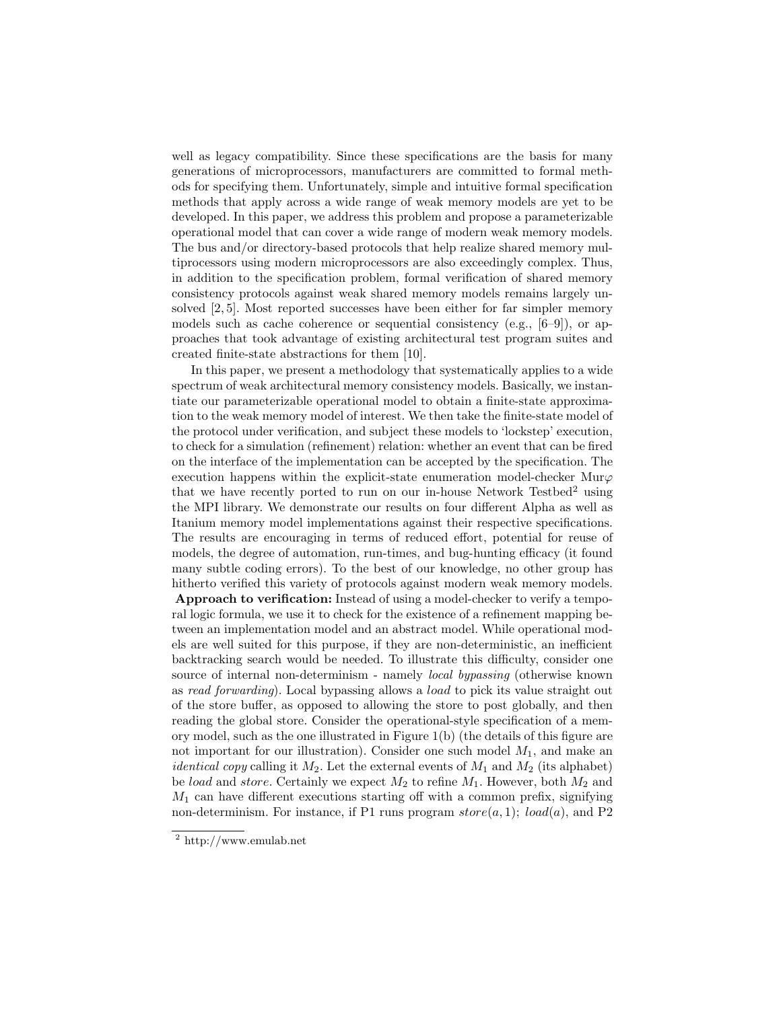well as legacy compatibility. Since these specifications are the basis for many generations of microprocessors, manufacturers are committed to formal methods for specifying them. Unfortunately, simple and intuitive formal specification methods that apply across a wide range of weak memory models are yet to be developed. In this paper, we address this problem and propose a parameterizable operational model that can cover a wide range of modern weak memory models. The bus and/or directory-based protocols that help realize shared memory multiprocessors using modern microprocessors are also exceedingly complex. Thus, in addition to the specification problem, formal verification of shared memory consistency protocols against weak shared memory models remains largely unsolved [2, 5]. Most reported successes have been either for far simpler memory models such as cache coherence or sequential consistency (e.g.,  $[6-9]$ ), or approaches that took advantage of existing architectural test program suites and created finite-state abstractions for them [10].

In this paper, we present a methodology that systematically applies to a wide spectrum of weak architectural memory consistency models. Basically, we instantiate our parameterizable operational model to obtain a finite-state approximation to the weak memory model of interest. We then take the finite-state model of the protocol under verification, and subject these models to 'lockstep' execution, to check for a simulation (refinement) relation: whether an event that can be fired on the interface of the implementation can be accepted by the specification. The execution happens within the explicit-state enumeration model-checker Mur $\varphi$ that we have recently ported to run on our in-house Network  $Testbed<sup>2</sup>$  using the MPI library. We demonstrate our results on four different Alpha as well as Itanium memory model implementations against their respective specifications. The results are encouraging in terms of reduced effort, potential for reuse of models, the degree of automation, run-times, and bug-hunting efficacy (it found many subtle coding errors). To the best of our knowledge, no other group has hitherto verified this variety of protocols against modern weak memory models. Approach to verification: Instead of using a model-checker to verify a temporal logic formula, we use it to check for the existence of a refinement mapping between an implementation model and an abstract model. While operational models are well suited for this purpose, if they are non-deterministic, an inefficient backtracking search would be needed. To illustrate this difficulty, consider one source of internal non-determinism - namely local bypassing (otherwise known as read forwarding). Local bypassing allows a load to pick its value straight out of the store buffer, as opposed to allowing the store to post globally, and then reading the global store. Consider the operational-style specification of a memory model, such as the one illustrated in Figure 1(b) (the details of this figure are not important for our illustration). Consider one such model  $M_1$ , and make an *identical copy* calling it  $M_2$ . Let the external events of  $M_1$  and  $M_2$  (its alphabet) be *load* and *store*. Certainly we expect  $M_2$  to refine  $M_1$ . However, both  $M_2$  and  $M_1$  can have different executions starting off with a common prefix, signifying non-determinism. For instance, if P1 runs program  $store(a, 1)$ ;  $load(a)$ , and P2

<sup>2</sup> http://www.emulab.net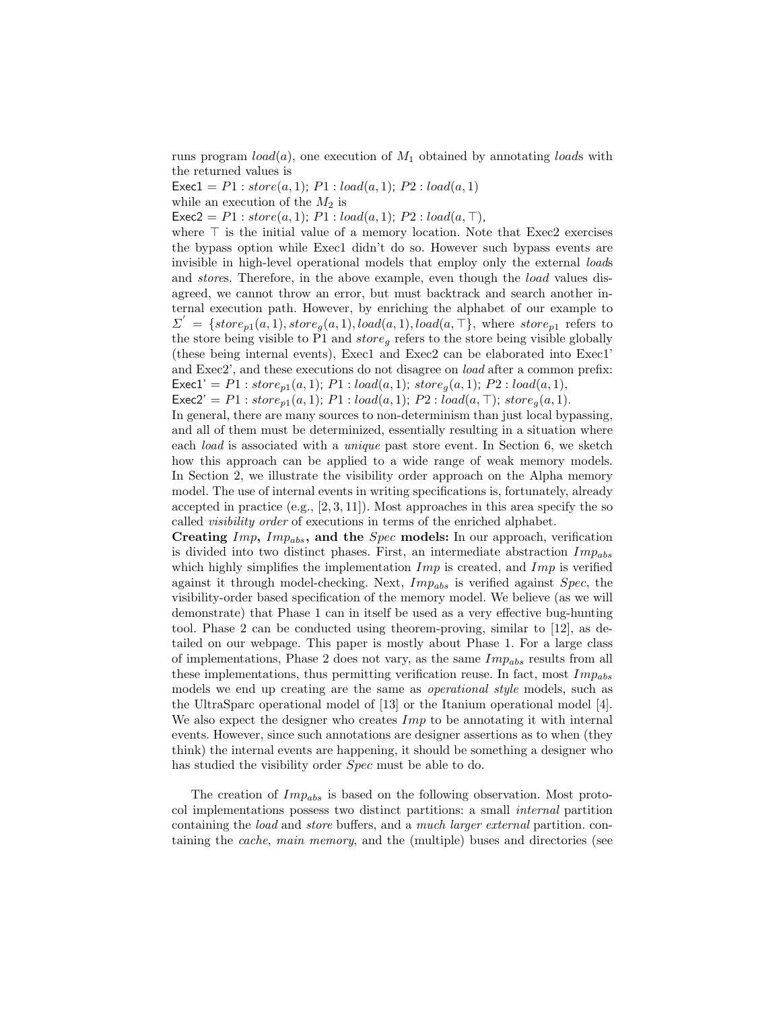runs program  $load(a)$ , one execution of  $M_1$  obtained by annotating loads with the returned values is

Exec1 =  $P1: store(a, 1); P1: load(a, 1); P2: load(a, 1)$ 

while an execution of the  $M_2$  is

Exec2 =  $P1: store(a, 1); P1: load(a, 1); P2: load(a, T),$ 

where  $\top$  is the initial value of a memory location. Note that Exec2 exercises the bypass option while Exec1 didn't do so. However such bypass events are invisible in high-level operational models that employ only the external *loads* and stores. Therefore, in the above example, even though the load values disagreed, we cannot throw an error, but must backtrack and search another internal execution path. However, by enriching the alphabet of our example to  $\Sigma' = \{store_{p1}(a, 1), store_g(a, 1), load(a, 1), load(a, \top), \text{ where } store_{p1} \text{ refers to } \bot$ the store being visible to P1 and  $store_g$  refers to the store being visible globally (these being internal events), Exec1 and Exec2 can be elaborated into Exec1' and Exec2', and these executions do not disagree on load after a common prefix: Exec1' =  $P1: store_{p1}(a, 1); P1: load(a, 1); store_q(a, 1); P2: load(a, 1),$ 

 $\text{Exec2'} = P1 : store_{p1}(a, 1); P1 : load(a, 1); P2 : load(a, \top); store_q(a, 1).$ 

In general, there are many sources to non-determinism than just local bypassing, and all of them must be determinized, essentially resulting in a situation where each *load* is associated with a *unique* past store event. In Section 6, we sketch how this approach can be applied to a wide range of weak memory models. In Section 2, we illustrate the visibility order approach on the Alpha memory model. The use of internal events in writing specifications is, fortunately, already accepted in practice (e.g.,  $[2, 3, 11]$ ). Most approaches in this area specify the so called visibility order of executions in terms of the enriched alphabet.

Creating  $Imp, Imp_{abs}$ , and the *Spec* models: In our approach, verification is divided into two distinct phases. First, an intermediate abstraction  $Imp_{abs}$ which highly simplifies the implementation  $Imp$  is created, and  $Imp$  is verified against it through model-checking. Next,  $Imp_{abs}$  is verified against  $Spec$ , the visibility-order based specification of the memory model. We believe (as we will demonstrate) that Phase 1 can in itself be used as a very effective bug-hunting tool. Phase 2 can be conducted using theorem-proving, similar to [12], as detailed on our webpage. This paper is mostly about Phase 1. For a large class of implementations, Phase 2 does not vary, as the same  $Imp_{abs}$  results from all these implementations, thus permitting verification reuse. In fact, most  $Imp_{abs}$ models we end up creating are the same as *operational style* models, such as the UltraSparc operational model of [13] or the Itanium operational model [4]. We also expect the designer who creates  $Imp$  to be annotating it with internal events. However, since such annotations are designer assertions as to when (they think) the internal events are happening, it should be something a designer who has studied the visibility order *Spec* must be able to do.

The creation of  $Imp_{abs}$  is based on the following observation. Most protocol implementations possess two distinct partitions: a small internal partition containing the load and store buffers, and a much larger external partition. containing the cache, main memory, and the (multiple) buses and directories (see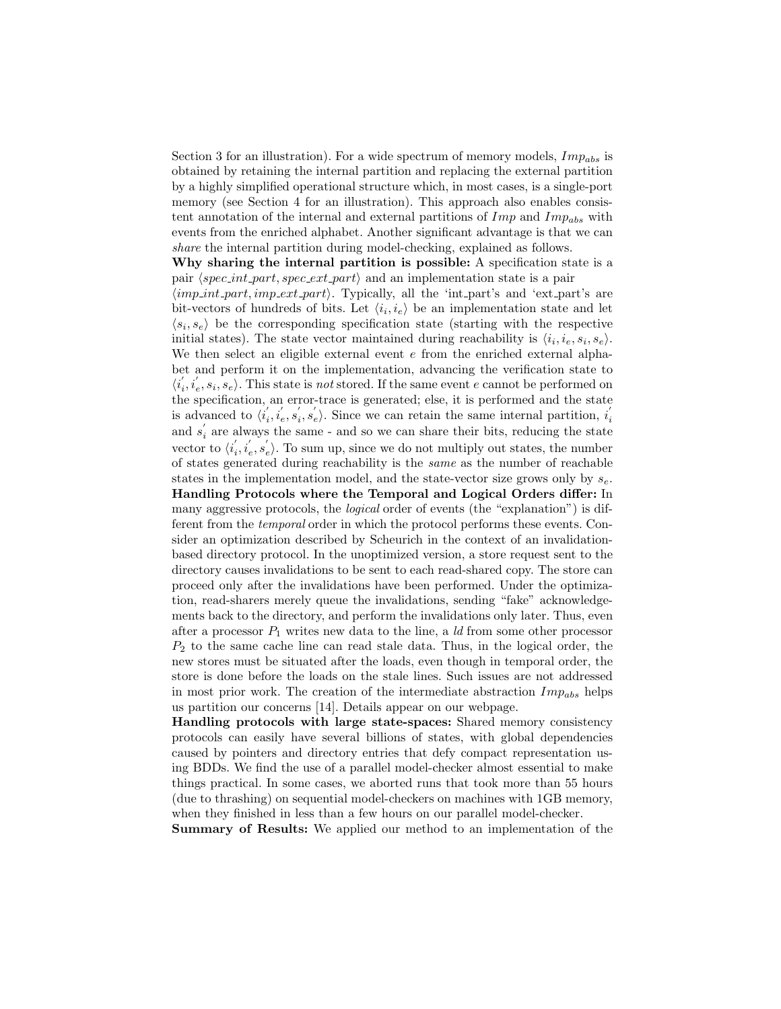Section 3 for an illustration). For a wide spectrum of memory models,  $Imp_{abs}$  is obtained by retaining the internal partition and replacing the external partition by a highly simplified operational structure which, in most cases, is a single-port memory (see Section 4 for an illustration). This approach also enables consistent annotation of the internal and external partitions of  $Imp$  and  $Imp$ <sub>abs</sub> with events from the enriched alphabet. Another significant advantage is that we can share the internal partition during model-checking, explained as follows.

Why sharing the internal partition is possible: A specification state is a pair  $\langle spec\_int\_part, spec\_ext\_part \rangle$  and an implementation state is a pair

 $\langle imp\_int\_part, imp\_ext\_part \rangle$ . Typically, all the 'int part's and 'ext part's are bit-vectors of hundreds of bits. Let  $\langle i_i, i_e \rangle$  be an implementation state and let  $\langle s_i, s_e \rangle$  be the corresponding specification state (starting with the respective initial states). The state vector maintained during reachability is  $\langle i_i, i_e, s_i, s_e \rangle$ . We then select an eligible external event  $e$  from the enriched external alphabet and perform it on the implementation, advancing the verification state to  $\langle i_1, i_2, s_1, s_2 \rangle$ . This state is not stored. If the same event e cannot be performed on the specification, an error-trace is generated; else, it is performed and the state is advanced to  $\langle i'_i, i'_e, s'_i, s'_e \rangle$ . Since we can retain the same internal partition,  $i'_i$ and  $s'_{i}$  are always the same - and so we can share their bits, reducing the state vector to  $\langle i_1, i_2, s_2 \rangle$ . To sum up, since we do not multiply out states, the number of states generated during reachability is the same as the number of reachable states in the implementation model, and the state-vector size grows only by  $s_e$ . Handling Protocols where the Temporal and Logical Orders differ: In many aggressive protocols, the *logical* order of events (the "explanation") is different from the temporal order in which the protocol performs these events. Consider an optimization described by Scheurich in the context of an invalidationbased directory protocol. In the unoptimized version, a store request sent to the directory causes invalidations to be sent to each read-shared copy. The store can proceed only after the invalidations have been performed. Under the optimization, read-sharers merely queue the invalidations, sending "fake" acknowledgements back to the directory, and perform the invalidations only later. Thus, even after a processor  $P_1$  writes new data to the line, a ld from some other processor  $P<sub>2</sub>$  to the same cache line can read stale data. Thus, in the logical order, the new stores must be situated after the loads, even though in temporal order, the store is done before the loads on the stale lines. Such issues are not addressed in most prior work. The creation of the intermediate abstraction  $Imp_{abs}$  helps us partition our concerns [14]. Details appear on our webpage.

Handling protocols with large state-spaces: Shared memory consistency protocols can easily have several billions of states, with global dependencies caused by pointers and directory entries that defy compact representation using BDDs. We find the use of a parallel model-checker almost essential to make things practical. In some cases, we aborted runs that took more than 55 hours (due to thrashing) on sequential model-checkers on machines with 1GB memory, when they finished in less than a few hours on our parallel model-checker.

Summary of Results: We applied our method to an implementation of the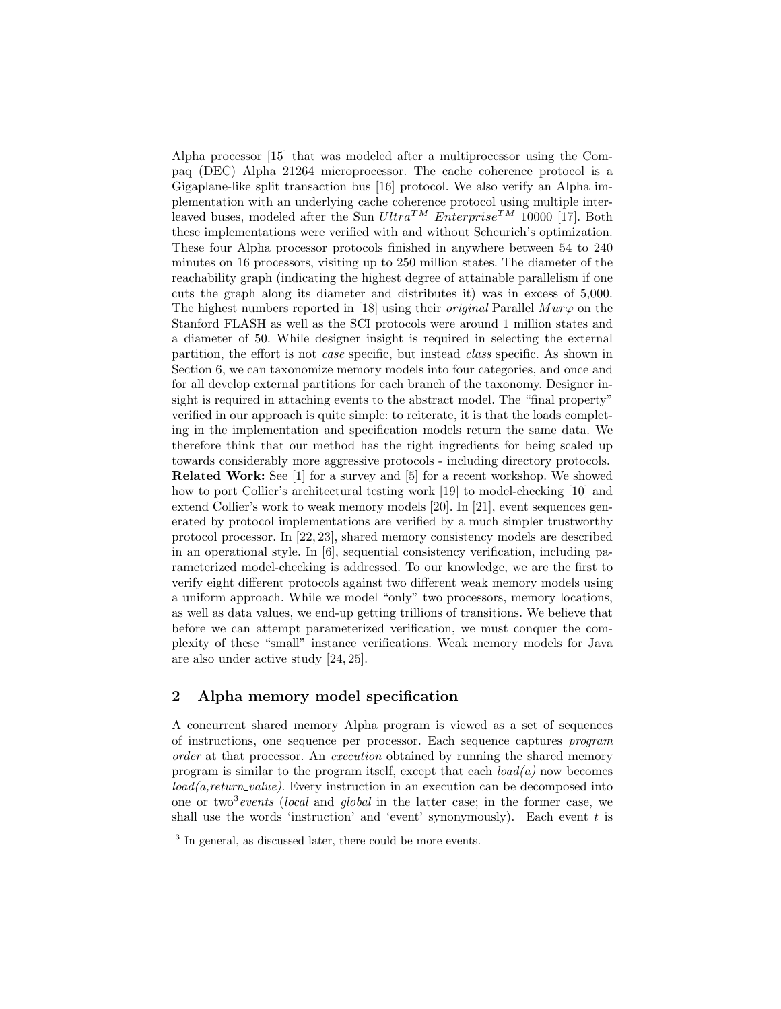Alpha processor [15] that was modeled after a multiprocessor using the Compaq (DEC) Alpha 21264 microprocessor. The cache coherence protocol is a Gigaplane-like split transaction bus [16] protocol. We also verify an Alpha implementation with an underlying cache coherence protocol using multiple interleaved buses, modeled after the Sun  $Ultra^{TM} \operatorname{Enter} \mathit{prise^{TM}}$  10000 [17]. Both these implementations were verified with and without Scheurich's optimization. These four Alpha processor protocols finished in anywhere between 54 to 240 minutes on 16 processors, visiting up to 250 million states. The diameter of the reachability graph (indicating the highest degree of attainable parallelism if one cuts the graph along its diameter and distributes it) was in excess of 5,000. The highest numbers reported in [18] using their *original* Parallel  $Mur\varphi$  on the Stanford FLASH as well as the SCI protocols were around 1 million states and a diameter of 50. While designer insight is required in selecting the external partition, the effort is not case specific, but instead class specific. As shown in Section 6, we can taxonomize memory models into four categories, and once and for all develop external partitions for each branch of the taxonomy. Designer insight is required in attaching events to the abstract model. The "final property" verified in our approach is quite simple: to reiterate, it is that the loads completing in the implementation and specification models return the same data. We therefore think that our method has the right ingredients for being scaled up towards considerably more aggressive protocols - including directory protocols. Related Work: See [1] for a survey and [5] for a recent workshop. We showed how to port Collier's architectural testing work [19] to model-checking [10] and extend Collier's work to weak memory models [20]. In [21], event sequences generated by protocol implementations are verified by a much simpler trustworthy protocol processor. In [22, 23], shared memory consistency models are described in an operational style. In [6], sequential consistency verification, including parameterized model-checking is addressed. To our knowledge, we are the first to verify eight different protocols against two different weak memory models using a uniform approach. While we model "only" two processors, memory locations, as well as data values, we end-up getting trillions of transitions. We believe that before we can attempt parameterized verification, we must conquer the complexity of these "small" instance verifications. Weak memory models for Java are also under active study [24, 25].

## 2 Alpha memory model specification

A concurrent shared memory Alpha program is viewed as a set of sequences of instructions, one sequence per processor. Each sequence captures program order at that processor. An execution obtained by running the shared memory program is similar to the program itself, except that each  $load(a)$  now becomes  $load(a, return_value)$ . Every instruction in an execution can be decomposed into one or two<sup>3</sup> events (local and global in the latter case; in the former case, we shall use the words 'instruction' and 'event' synonymously). Each event  $t$  is

<sup>&</sup>lt;sup>3</sup> In general, as discussed later, there could be more events.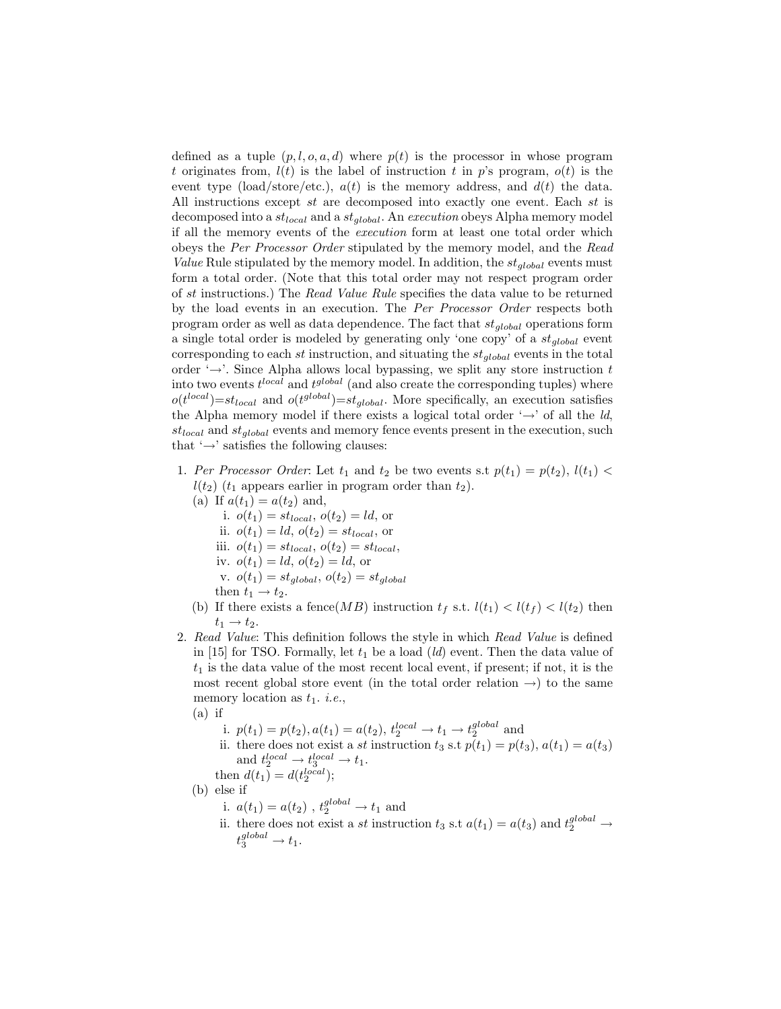defined as a tuple  $(p, l, o, a, d)$  where  $p(t)$  is the processor in whose program t originates from,  $l(t)$  is the label of instruction t in p's program,  $o(t)$  is the event type (load/store/etc.),  $a(t)$  is the memory address, and  $d(t)$  the data. All instructions except st are decomposed into exactly one event. Each st is decomposed into a  $st_{local}$  and a  $st_{global}$ . An execution obeys Alpha memory model if all the memory events of the execution form at least one total order which obeys the Per Processor Order stipulated by the memory model, and the Read Value Rule stipulated by the memory model. In addition, the  $st_{global}$  events must form a total order. (Note that this total order may not respect program order of st instructions.) The Read Value Rule specifies the data value to be returned by the load events in an execution. The Per Processor Order respects both program order as well as data dependence. The fact that  $st_{alobel}$  operations form a single total order is modeled by generating only 'one copy' of a  $st_{alobal}$  event corresponding to each  $st$  instruction, and situating the  $st_{global}$  events in the total order  $\rightarrow$ . Since Alpha allows local bypassing, we split any store instruction t into two events  $t^{local}$  and  $t^{global}$  (and also create the corresponding tuples) where  $o(t^{local})=st_{local}$  and  $o(t^{global})=st_{global}$ . More specifically, an execution satisfies the Alpha memory model if there exists a logical total order ' $\rightarrow$ ' of all the *ld*,  $st_{local}$  and  $st_{global}$  events and memory fence events present in the execution, such that  $\leftrightarrow$  satisfies the following clauses:

- 1. Per Processor Order: Let  $t_1$  and  $t_2$  be two events s.t  $p(t_1) = p(t_2)$ ,  $l(t_1)$  <  $l(t_2)$  ( $t_1$  appears earlier in program order than  $t_2$ ).
	- (a) If  $a(t_1) = a(t_2)$  and,
		- i.  $o(t_1) = st_{local}, o(t_2) = ld$ , or ii.  $o(t_1) = ld, o(t_2) = st_{local}$ , or iii.  $o(t_1) = st_{local}, o(t_2) = st_{local},$ iv.  $o(t_1) = ld, o(t_2) = ld,$  or v.  $o(t_1) = st_{global}$ ,  $o(t_2) = st_{global}$ then  $t_1 \rightarrow t_2$ .
	- (b) If there exists a fence(*MB*) instruction  $t_f$  s.t.  $l(t_1) < l(t_f) < l(t_2)$  then  $t_1 \rightarrow t_2.$
- 2. Read Value: This definition follows the style in which Read Value is defined in [15] for TSO. Formally, let  $t_1$  be a load (*ld*) event. Then the data value of  $t_1$  is the data value of the most recent local event, if present; if not, it is the most recent global store event (in the total order relation  $\rightarrow$ ) to the same memory location as  $t_1$ . *i.e.*,
	- $(a)$  if
		- i.  $p(t_1) = p(t_2), a(t_1) = a(t_2), t_2^{local} \rightarrow t_1 \rightarrow t_2^{global}$  and
		- ii. there does not exist a st instruction  $t_3$  s.t  $p(t_1) = p(t_3)$ ,  $a(t_1) = a(t_3)$ and  $t_2^{local} \rightarrow t_3^{local} \rightarrow t_1$ .
		- then  $d(t_1) = d(t_2^{local});$
	- (b) else if
		- i.  $a(t_1) = a(t_2)$ ,  $t_2^{global} \rightarrow t_1$  and
		- ii. there does not exist a st instruction  $t_3$  s.t  $a(t_1) = a(t_3)$  and  $t_2^{global} \rightarrow$  $t_3^{global} \rightarrow t_1.$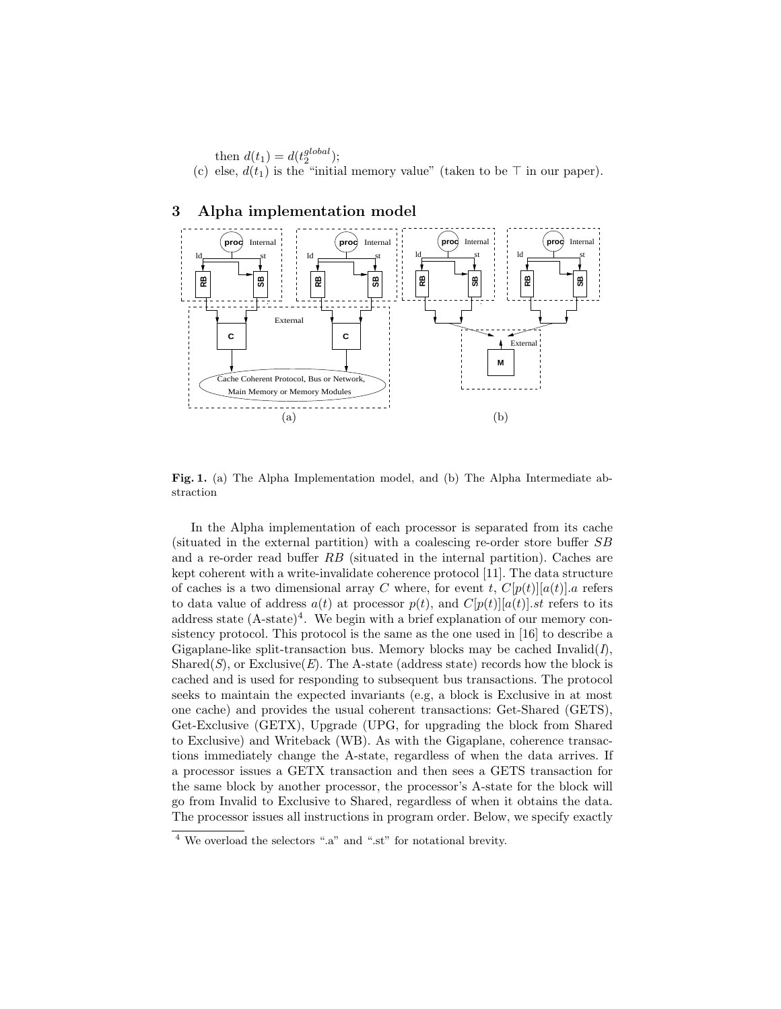then  $d(t_1) = d(t_2^{global});$ 

(c) else,  $d(t_1)$  is the "initial memory value" (taken to be  $\top$  in our paper).



### 3 Alpha implementation model

Fig. 1. (a) The Alpha Implementation model, and (b) The Alpha Intermediate abstraction

In the Alpha implementation of each processor is separated from its cache (situated in the external partition) with a coalescing re-order store buffer SB and a re-order read buffer RB (situated in the internal partition). Caches are kept coherent with a write-invalidate coherence protocol [11]. The data structure of caches is a two dimensional array C where, for event t,  $C[p(t)][a(t)].a$  refers to data value of address  $a(t)$  at processor  $p(t)$ , and  $C[p(t)][a(t)]$ .st refers to its address state  $(A\text{-state})^4$ . We begin with a brief explanation of our memory consistency protocol. This protocol is the same as the one used in [16] to describe a Gigaplane-like split-transaction bus. Memory blocks may be cached Invalid $(I)$ , Shared(S), or Exclusive(E). The A-state (address state) records how the block is cached and is used for responding to subsequent bus transactions. The protocol seeks to maintain the expected invariants (e.g, a block is Exclusive in at most one cache) and provides the usual coherent transactions: Get-Shared (GETS), Get-Exclusive (GETX), Upgrade (UPG, for upgrading the block from Shared to Exclusive) and Writeback (WB). As with the Gigaplane, coherence transactions immediately change the A-state, regardless of when the data arrives. If a processor issues a GETX transaction and then sees a GETS transaction for the same block by another processor, the processor's A-state for the block will go from Invalid to Exclusive to Shared, regardless of when it obtains the data. The processor issues all instructions in program order. Below, we specify exactly

 $^4$  We overload the selectors ".a" and ".st" for notational brevity.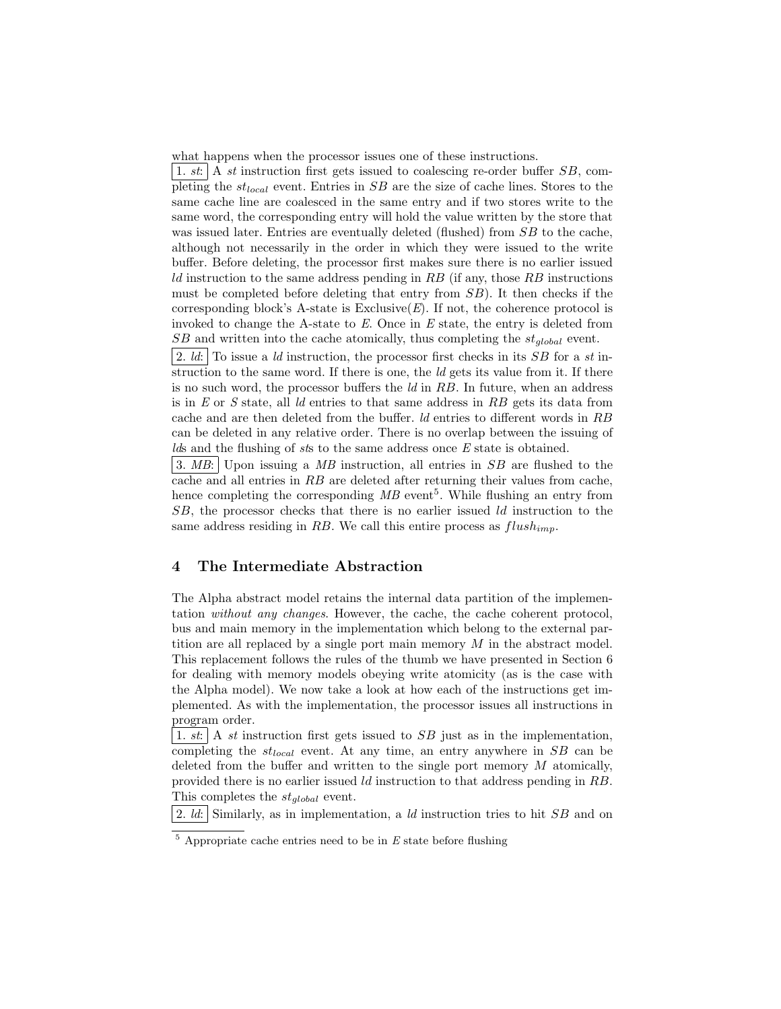what happens when the processor issues one of these instructions.

1. st: A st instruction first gets issued to coalescing re-order buffer  $SB$ , completing the  $st_{local}$  event. Entries in  $SB$  are the size of cache lines. Stores to the same cache line are coalesced in the same entry and if two stores write to the same word, the corresponding entry will hold the value written by the store that was issued later. Entries are eventually deleted (flushed) from  $SB$  to the cache, although not necessarily in the order in which they were issued to the write buffer. Before deleting, the processor first makes sure there is no earlier issued  $ld$  instruction to the same address pending in  $RB$  (if any, those  $RB$  instructions must be completed before deleting that entry from  $SB$ ). It then checks if the corresponding block's A-state is  $\text{Exclusive}(E)$ . If not, the coherence protocol is invoked to change the A-state to  $E$ . Once in  $E$  state, the entry is deleted from  $SB$  and written into the cache atomically, thus completing the  $st_{global}$  event. 2. *ld*: To issue a *ld* instruction, the processor first checks in its  $SB$  for a st instruction to the same word. If there is one, the *ld* gets its value from it. If there is no such word, the processor buffers the ld in RB. In future, when an address is in E or S state, all ld entries to that same address in RB gets its data from

cache and are then deleted from the buffer. ld entries to different words in RB can be deleted in any relative order. There is no overlap between the issuing of lds and the flushing of sts to the same address once E state is obtained.

3. MB: Upon issuing a MB instruction, all entries in  $SB$  are flushed to the cache and all entries in RB are deleted after returning their values from cache, hence completing the corresponding  $MB$  event<sup>5</sup>. While flushing an entry from SB, the processor checks that there is no earlier issued ld instruction to the same address residing in RB. We call this entire process as  $flush_{imp}$ .

# 4 The Intermediate Abstraction

The Alpha abstract model retains the internal data partition of the implementation without any changes. However, the cache, the cache coherent protocol, bus and main memory in the implementation which belong to the external partition are all replaced by a single port main memory  $M$  in the abstract model. This replacement follows the rules of the thumb we have presented in Section 6 for dealing with memory models obeying write atomicity (as is the case with the Alpha model). We now take a look at how each of the instructions get implemented. As with the implementation, the processor issues all instructions in program order.

1. st: A st instruction first gets issued to SB just as in the implementation, completing the  $st_{local}$  event. At any time, an entry anywhere in  $SB$  can be deleted from the buffer and written to the single port memory  $M$  atomically, provided there is no earlier issued ld instruction to that address pending in RB. This completes the  $st_{global}$  event.

2. *ld*: Similarly, as in implementation, a *ld* instruction tries to hit  $SB$  and on

 $5$  Appropriate cache entries need to be in  $E$  state before flushing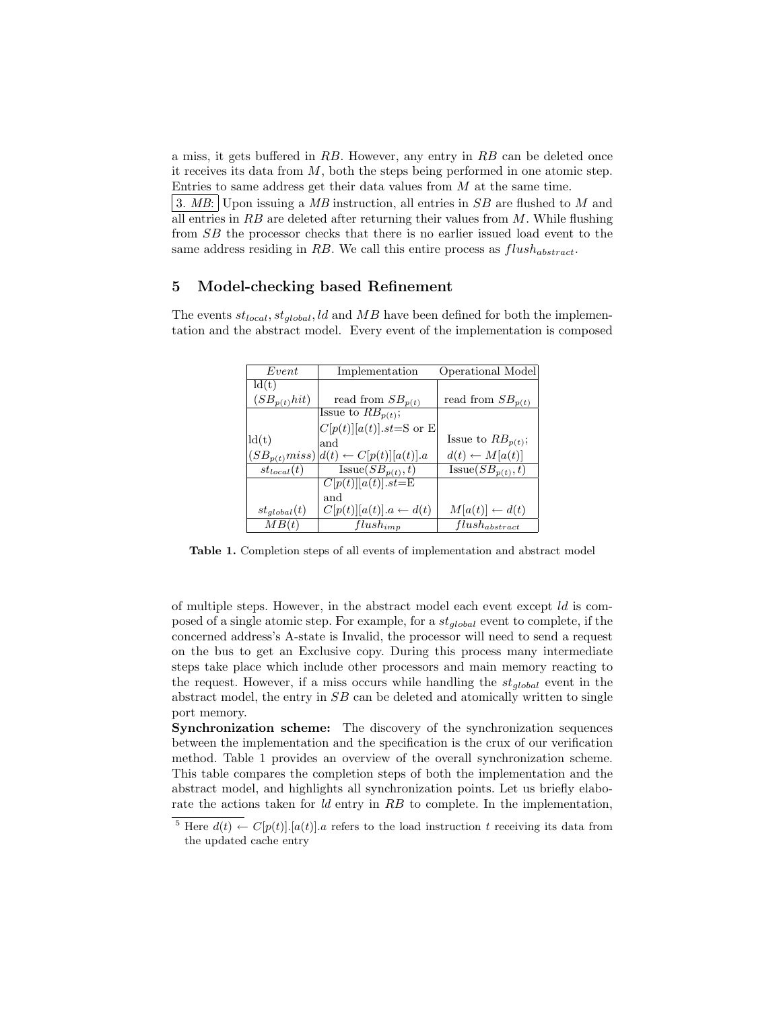a miss, it gets buffered in RB. However, any entry in RB can be deleted once it receives its data from  $M$ , both the steps being performed in one atomic step. Entries to same address get their data values from  $M$  at the same time. 3. MB: Upon issuing a MB instruction, all entries in SB are flushed to M and

all entries in  $RB$  are deleted after returning their values from  $M$ . While flushing from SB the processor checks that there is no earlier issued load event to the same address residing in RB. We call this entire process as  $flush_{abstract}$ .

# 5 Model-checking based Refinement

| Event            | Implementation                                     | Operational Model                       |
|------------------|----------------------------------------------------|-----------------------------------------|
| ld(t)            |                                                    |                                         |
| $(SB_{p(t)}hit)$ | read from $SB_{p(t)}$                              | read from $SB_{p(t)}$                   |
|                  | Issue to $RB_{p(t)}$ ;                             |                                         |
|                  | $ C[p(t)][a(t)].st = S$ or E                       |                                         |
| ld(t)            | and                                                | Issue to $RB_{p(t)}$ ;                  |
|                  | $ (SB_{p(t)}miss) d(t) \leftarrow C[p(t)][a(t)].a$ | $d(t) \leftarrow M[a(t)]$               |
| $st_{local}(t)$  | Issue( $SB_{p(t)}, t$ )                            | $\overline{\text{Issue}}(SB_{p(t)}, t)$ |
|                  | $C[p(t)][a(t)].st=\to$                             |                                         |
|                  | and                                                |                                         |
| $st_{global}(t)$ | $C[p(t)][a(t)].a \leftarrow d(t)$                  | $M[a(t)] \leftarrow d(t)$               |
| MB(t)            | $flush_{imp}$                                      | $flush_{abstract}$                      |

The events  $st_{local}$ ,  $st_{global}$ ,  $ld$  and  $MB$  have been defined for both the implementation and the abstract model. Every event of the implementation is composed

Table 1. Completion steps of all events of implementation and abstract model

of multiple steps. However, in the abstract model each event except ld is composed of a single atomic step. For example, for a  $st_{global}$  event to complete, if the concerned address's A-state is Invalid, the processor will need to send a request on the bus to get an Exclusive copy. During this process many intermediate steps take place which include other processors and main memory reacting to the request. However, if a miss occurs while handling the  $st_{alobal}$  event in the abstract model, the entry in SB can be deleted and atomically written to single port memory.

Synchronization scheme: The discovery of the synchronization sequences between the implementation and the specification is the crux of our verification method. Table 1 provides an overview of the overall synchronization scheme. This table compares the completion steps of both the implementation and the abstract model, and highlights all synchronization points. Let us briefly elaborate the actions taken for *ld* entry in RB to complete. In the implementation,

<sup>&</sup>lt;sup>5</sup> Here  $d(t) \leftarrow C[p(t)].[a(t)].a$  refers to the load instruction t receiving its data from the updated cache entry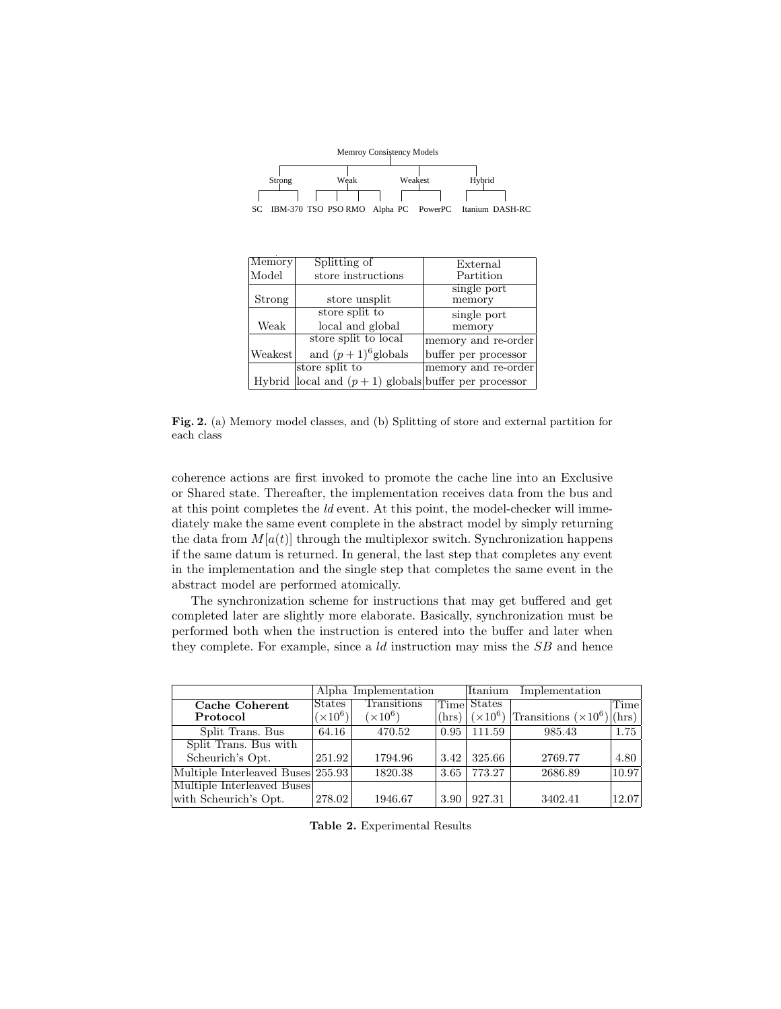

| Memory  | Splitting of                                          | External             |
|---------|-------------------------------------------------------|----------------------|
| Model   | store instructions                                    | Partition            |
|         |                                                       | single port          |
| Strong  | store unsplit                                         | memory               |
|         | store split to                                        | single port          |
| Weak    | local and global                                      | memory               |
|         | store split to local                                  | memory and re-order  |
| Weakest | and $(p+1)^6$ globals                                 | buffer per processor |
|         | store split to                                        | memory and re-order  |
|         | Hybrid local and $(p+1)$ globals buffer per processor |                      |

Fig. 2. (a) Memory model classes, and (b) Splitting of store and external partition for each class

coherence actions are first invoked to promote the cache line into an Exclusive or Shared state. Thereafter, the implementation receives data from the bus and at this point completes the ld event. At this point, the model-checker will immediately make the same event complete in the abstract model by simply returning the data from  $M[a(t)]$  through the multiplexor switch. Synchronization happens if the same datum is returned. In general, the last step that completes any event in the implementation and the single step that completes the same event in the abstract model are performed atomically.

The synchronization scheme for instructions that may get buffered and get completed later are slightly more elaborate. Basically, synchronization must be performed both when the instruction is entered into the buffer and later when they complete. For example, since a  $ld$  instruction may miss the  $SB$  and hence

|                                   |                 | Alpha Implementation |       | Itanium         | Implementation              |       |
|-----------------------------------|-----------------|----------------------|-------|-----------------|-----------------------------|-------|
| <b>Cache Coherent</b>             | States          | <b>Transitions</b>   |       | Time States     |                             | Time  |
| Protocol                          | $(\times 10^6)$ | $(\times 10^6)$      | (hrs) | $(\times 10^6)$ | Transitions $(\times 10^6)$ | (hrs) |
| Split Trans. Bus                  | 64.16           | 470.52               | 0.95  | 111.59          | 985.43                      | 1.75  |
| Split Trans. Bus with             |                 |                      |       |                 |                             |       |
| Scheurich's Opt.                  | 251.92          | 1794.96              | 3.42  | 325.66          | 2769.77                     | 4.80  |
| Multiple Interleaved Buses 255.93 |                 | 1820.38              | 3.65  | 773.27          | 2686.89                     | 10.97 |
| Multiple Interleaved Buses        |                 |                      |       |                 |                             |       |
| with Scheurich's Opt.             | 278.02          | 1946.67              | 3.90  | 927.31          | 3402.41                     | 12.07 |

Table 2. Experimental Results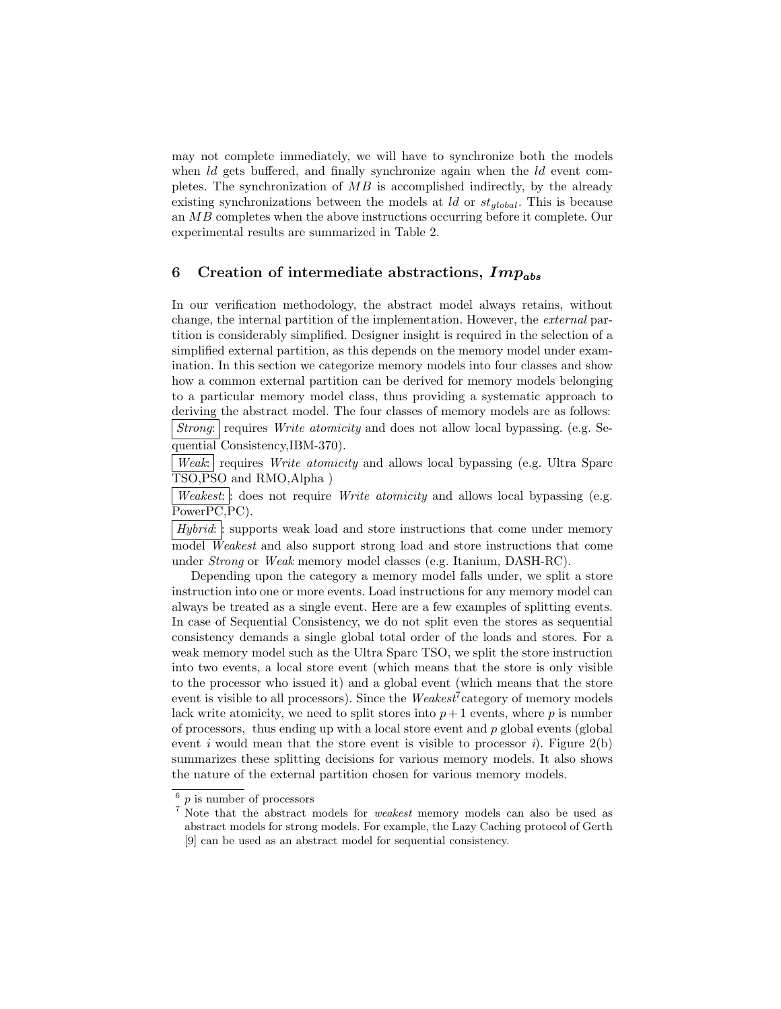may not complete immediately, we will have to synchronize both the models when  $ld$  gets buffered, and finally synchronize again when the  $ld$  event completes. The synchronization of  $MB$  is accomplished indirectly, by the already existing synchronizations between the models at  $ld$  or  $st_{global}$ . This is because an MB completes when the above instructions occurring before it complete. Our experimental results are summarized in Table 2.

## 6 Creation of intermediate abstractions,  $Imp_{abs}$

In our verification methodology, the abstract model always retains, without change, the internal partition of the implementation. However, the external partition is considerably simplified. Designer insight is required in the selection of a simplified external partition, as this depends on the memory model under examination. In this section we categorize memory models into four classes and show how a common external partition can be derived for memory models belonging to a particular memory model class, thus providing a systematic approach to deriving the abstract model. The four classes of memory models are as follows: Strong: requires Write atomicity and does not allow local bypassing. (e.g. Sequential Consistency,IBM-370).

Weak: requires Write atomicity and allows local bypassing (e.g. Ultra Sparc TSO,PSO and RMO,Alpha )

Weakest:  $\vert$ : does not require Write atomicity and allows local bypassing (e.g. PowerPC,PC).

 $Hybrid:$ : supports weak load and store instructions that come under memory model Weakest and also support strong load and store instructions that come under Strong or Weak memory model classes (e.g. Itanium, DASH-RC).

Depending upon the category a memory model falls under, we split a store instruction into one or more events. Load instructions for any memory model can always be treated as a single event. Here are a few examples of splitting events. In case of Sequential Consistency, we do not split even the stores as sequential consistency demands a single global total order of the loads and stores. For a weak memory model such as the Ultra Sparc TSO, we split the store instruction into two events, a local store event (which means that the store is only visible to the processor who issued it) and a global event (which means that the store event is visible to all processors). Since the  $Weakest^7$  category of memory models lack write atomicity, we need to split stores into  $p+1$  events, where p is number of processors, thus ending up with a local store event and  $p$  global events (global event i would mean that the store event is visible to processor i). Figure  $2(b)$ summarizes these splitting decisions for various memory models. It also shows the nature of the external partition chosen for various memory models.

 $6$   $p$  is number of processors

<sup>&</sup>lt;sup>7</sup> Note that the abstract models for *weakest* memory models can also be used as abstract models for strong models. For example, the Lazy Caching protocol of Gerth [9] can be used as an abstract model for sequential consistency.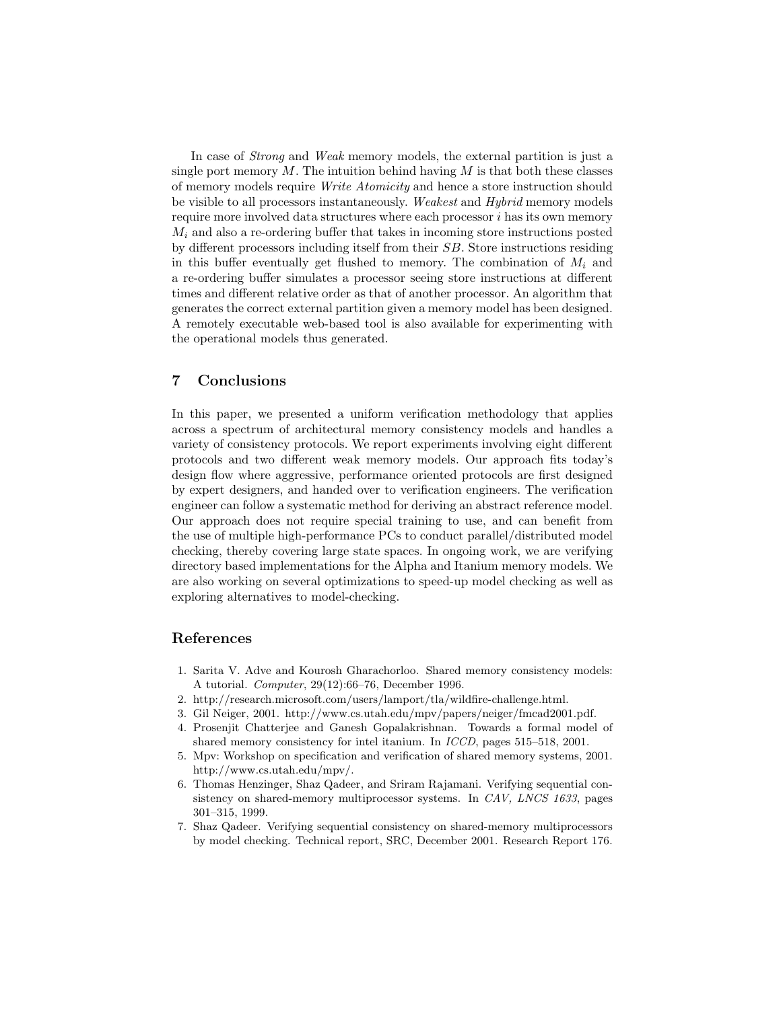In case of Strong and Weak memory models, the external partition is just a single port memory  $M$ . The intuition behind having  $M$  is that both these classes of memory models require Write Atomicity and hence a store instruction should be visible to all processors instantaneously. Weakest and Hybrid memory models require more involved data structures where each processor  $i$  has its own memory  $M_i$  and also a re-ordering buffer that takes in incoming store instructions posted by different processors including itself from their SB. Store instructions residing in this buffer eventually get flushed to memory. The combination of  $M_i$  and a re-ordering buffer simulates a processor seeing store instructions at different times and different relative order as that of another processor. An algorithm that generates the correct external partition given a memory model has been designed. A remotely executable web-based tool is also available for experimenting with the operational models thus generated.

### 7 Conclusions

In this paper, we presented a uniform verification methodology that applies across a spectrum of architectural memory consistency models and handles a variety of consistency protocols. We report experiments involving eight different protocols and two different weak memory models. Our approach fits today's design flow where aggressive, performance oriented protocols are first designed by expert designers, and handed over to verification engineers. The verification engineer can follow a systematic method for deriving an abstract reference model. Our approach does not require special training to use, and can benefit from the use of multiple high-performance PCs to conduct parallel/distributed model checking, thereby covering large state spaces. In ongoing work, we are verifying directory based implementations for the Alpha and Itanium memory models. We are also working on several optimizations to speed-up model checking as well as exploring alternatives to model-checking.

## References

- 1. Sarita V. Adve and Kourosh Gharachorloo. Shared memory consistency models: A tutorial. Computer, 29(12):66–76, December 1996.
- 2. http://research.microsoft.com/users/lamport/tla/wildfire-challenge.html.
- 3. Gil Neiger, 2001. http://www.cs.utah.edu/mpv/papers/neiger/fmcad2001.pdf.
- 4. Prosenjit Chatterjee and Ganesh Gopalakrishnan. Towards a formal model of shared memory consistency for intel itanium. In ICCD, pages 515–518, 2001.
- 5. Mpv: Workshop on specification and verification of shared memory systems, 2001. http://www.cs.utah.edu/mpv/.
- 6. Thomas Henzinger, Shaz Qadeer, and Sriram Rajamani. Verifying sequential consistency on shared-memory multiprocessor systems. In CAV, LNCS 1633, pages 301–315, 1999.
- 7. Shaz Qadeer. Verifying sequential consistency on shared-memory multiprocessors by model checking. Technical report, SRC, December 2001. Research Report 176.